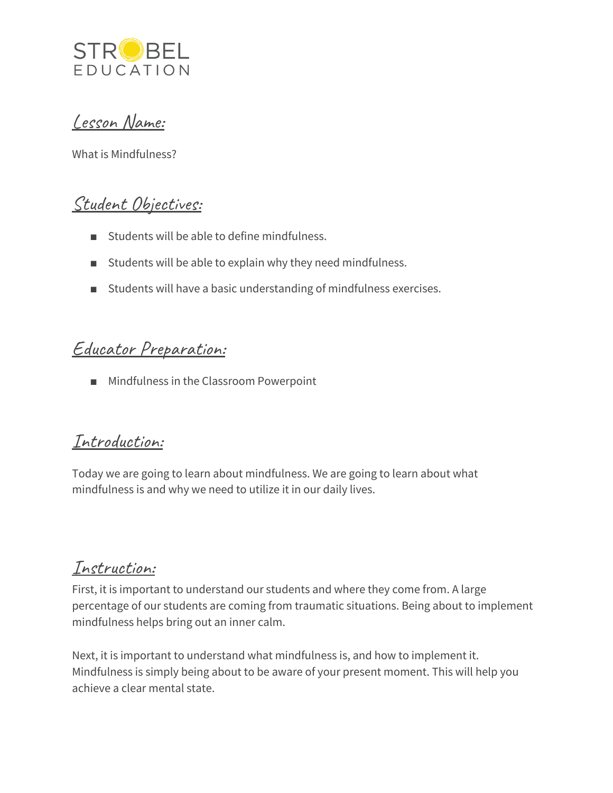

Lesson Name:

What is Mindfulness?

## Student Objectives:

- Students will be able to define mindfulness.
- Students will be able to explain why they need mindfulness.
- Students will have a basic understanding of mindfulness exercises.

# Educator Preparation:

■ Mindfulness in the Classroom Powerpoint

#### Introduction:

Today we are going to learn about mindfulness. We are going to learn about what mindfulness is and why we need to utilize it in our daily lives.

#### Instruction:

First, it is important to understand our students and where they come from. A large percentage of our students are coming from traumatic situations. Being about to implement mindfulness helps bring out an inner calm.

Next, it is important to understand what mindfulness is, and how to implement it. Mindfulness is simply being about to be aware of your present moment. This will help you achieve a clear mental state.